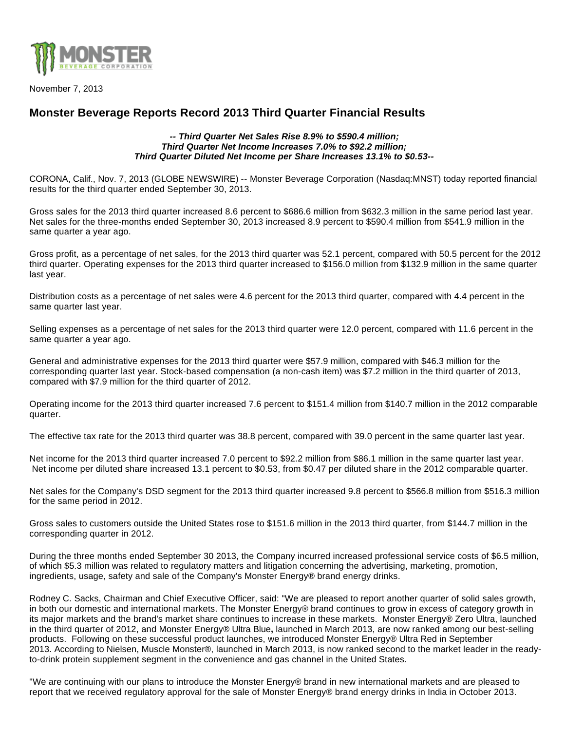

November 7, 2013

## **Monster Beverage Reports Record 2013 Third Quarter Financial Results**

#### **-- Third Quarter Net Sales Rise 8.9% to \$590.4 million; Third Quarter Net Income Increases 7.0% to \$92.2 million; Third Quarter Diluted Net Income per Share Increases 13.1% to \$0.53--**

CORONA, Calif., Nov. 7, 2013 (GLOBE NEWSWIRE) -- Monster Beverage Corporation (Nasdaq:MNST) today reported financial results for the third quarter ended September 30, 2013.

Gross sales for the 2013 third quarter increased 8.6 percent to \$686.6 million from \$632.3 million in the same period last year. Net sales for the three-months ended September 30, 2013 increased 8.9 percent to \$590.4 million from \$541.9 million in the same quarter a year ago.

Gross profit, as a percentage of net sales, for the 2013 third quarter was 52.1 percent, compared with 50.5 percent for the 2012 third quarter. Operating expenses for the 2013 third quarter increased to \$156.0 million from \$132.9 million in the same quarter last year.

Distribution costs as a percentage of net sales were 4.6 percent for the 2013 third quarter, compared with 4.4 percent in the same quarter last year.

Selling expenses as a percentage of net sales for the 2013 third quarter were 12.0 percent, compared with 11.6 percent in the same quarter a year ago.

General and administrative expenses for the 2013 third quarter were \$57.9 million, compared with \$46.3 million for the corresponding quarter last year. Stock-based compensation (a non-cash item) was \$7.2 million in the third quarter of 2013, compared with \$7.9 million for the third quarter of 2012.

Operating income for the 2013 third quarter increased 7.6 percent to \$151.4 million from \$140.7 million in the 2012 comparable quarter.

The effective tax rate for the 2013 third quarter was 38.8 percent, compared with 39.0 percent in the same quarter last year.

Net income for the 2013 third quarter increased 7.0 percent to \$92.2 million from \$86.1 million in the same quarter last year. Net income per diluted share increased 13.1 percent to \$0.53, from \$0.47 per diluted share in the 2012 comparable quarter.

Net sales for the Company's DSD segment for the 2013 third quarter increased 9.8 percent to \$566.8 million from \$516.3 million for the same period in 2012.

Gross sales to customers outside the United States rose to \$151.6 million in the 2013 third quarter, from \$144.7 million in the corresponding quarter in 2012.

During the three months ended September 30 2013, the Company incurred increased professional service costs of \$6.5 million, of which \$5.3 million was related to regulatory matters and litigation concerning the advertising, marketing, promotion, ingredients, usage, safety and sale of the Company's Monster Energy® brand energy drinks.

Rodney C. Sacks, Chairman and Chief Executive Officer, said: "We are pleased to report another quarter of solid sales growth, in both our domestic and international markets. The Monster Energy® brand continues to grow in excess of category growth in its major markets and the brand's market share continues to increase in these markets. Monster Energy® Zero Ultra, launched in the third quarter of 2012, and Monster Energy® Ultra Blue**,** launched in March 2013, are now ranked among our best-selling products. Following on these successful product launches, we introduced Monster Energy® Ultra Red in September 2013. According to Nielsen, Muscle Monster®, launched in March 2013, is now ranked second to the market leader in the readyto-drink protein supplement segment in the convenience and gas channel in the United States.

"We are continuing with our plans to introduce the Monster Energy® brand in new international markets and are pleased to report that we received regulatory approval for the sale of Monster Energy® brand energy drinks in India in October 2013.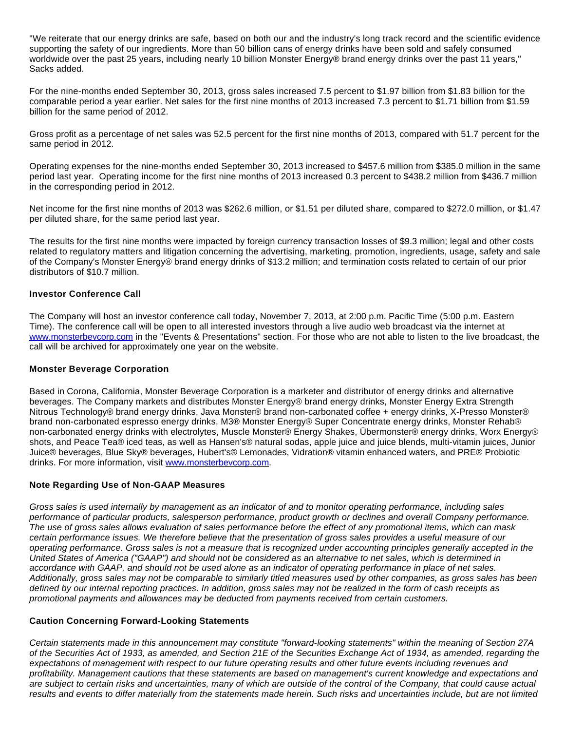"We reiterate that our energy drinks are safe, based on both our and the industry's long track record and the scientific evidence supporting the safety of our ingredients. More than 50 billion cans of energy drinks have been sold and safely consumed worldwide over the past 25 years, including nearly 10 billion Monster Energy® brand energy drinks over the past 11 years," Sacks added.

For the nine-months ended September 30, 2013, gross sales increased 7.5 percent to \$1.97 billion from \$1.83 billion for the comparable period a year earlier. Net sales for the first nine months of 2013 increased 7.3 percent to \$1.71 billion from \$1.59 billion for the same period of 2012.

Gross profit as a percentage of net sales was 52.5 percent for the first nine months of 2013, compared with 51.7 percent for the same period in 2012.

Operating expenses for the nine-months ended September 30, 2013 increased to \$457.6 million from \$385.0 million in the same period last year. Operating income for the first nine months of 2013 increased 0.3 percent to \$438.2 million from \$436.7 million in the corresponding period in 2012.

Net income for the first nine months of 2013 was \$262.6 million, or \$1.51 per diluted share, compared to \$272.0 million, or \$1.47 per diluted share, for the same period last year.

The results for the first nine months were impacted by foreign currency transaction losses of \$9.3 million; legal and other costs related to regulatory matters and litigation concerning the advertising, marketing, promotion, ingredients, usage, safety and sale of the Company's Monster Energy® brand energy drinks of \$13.2 million; and termination costs related to certain of our prior distributors of \$10.7 million.

#### **Investor Conference Call**

The Company will host an investor conference call today, November 7, 2013, at 2:00 p.m. Pacific Time (5:00 p.m. Eastern Time). The conference call will be open to all interested investors through a live audio web broadcast via the internet at [www.monsterbevcorp.com](http://www.monsterbevcorp.com/) in the "Events & Presentations" section. For those who are not able to listen to the live broadcast, the call will be archived for approximately one year on the website.

#### **Monster Beverage Corporation**

Based in Corona, California, Monster Beverage Corporation is a marketer and distributor of energy drinks and alternative beverages. The Company markets and distributes Monster Energy® brand energy drinks, Monster Energy Extra Strength Nitrous Technology® brand energy drinks, Java Monster® brand non-carbonated coffee + energy drinks, X-Presso Monster® brand non-carbonated espresso energy drinks, M3® Monster Energy® Super Concentrate energy drinks, Monster Rehab® non-carbonated energy drinks with electrolytes, Muscle Monster® Energy Shakes, Übermonster® energy drinks, Worx Energy® shots, and Peace Tea® iced teas, as well as Hansen's® natural sodas, apple juice and juice blends, multi-vitamin juices, Junior Juice® beverages, Blue Sky® beverages, Hubert's® Lemonades, Vidration® vitamin enhanced waters, and PRE® Probiotic drinks. For more information, visit [www.monsterbevcorp.com.](http://www.monsterbevcorp.com/)

### **Note Regarding Use of Non-GAAP Measures**

Gross sales is used internally by management as an indicator of and to monitor operating performance, including sales performance of particular products, salesperson performance, product growth or declines and overall Company performance. The use of gross sales allows evaluation of sales performance before the effect of any promotional items, which can mask certain performance issues. We therefore believe that the presentation of gross sales provides a useful measure of our operating performance. Gross sales is not a measure that is recognized under accounting principles generally accepted in the United States of America ("GAAP") and should not be considered as an alternative to net sales, which is determined in accordance with GAAP, and should not be used alone as an indicator of operating performance in place of net sales. Additionally, gross sales may not be comparable to similarly titled measures used by other companies, as gross sales has been defined by our internal reporting practices. In addition, gross sales may not be realized in the form of cash receipts as promotional payments and allowances may be deducted from payments received from certain customers.

#### **Caution Concerning Forward-Looking Statements**

Certain statements made in this announcement may constitute "forward-looking statements" within the meaning of Section 27A of the Securities Act of 1933, as amended, and Section 21E of the Securities Exchange Act of 1934, as amended, regarding the expectations of management with respect to our future operating results and other future events including revenues and profitability. Management cautions that these statements are based on management's current knowledge and expectations and are subject to certain risks and uncertainties, many of which are outside of the control of the Company, that could cause actual results and events to differ materially from the statements made herein. Such risks and uncertainties include, but are not limited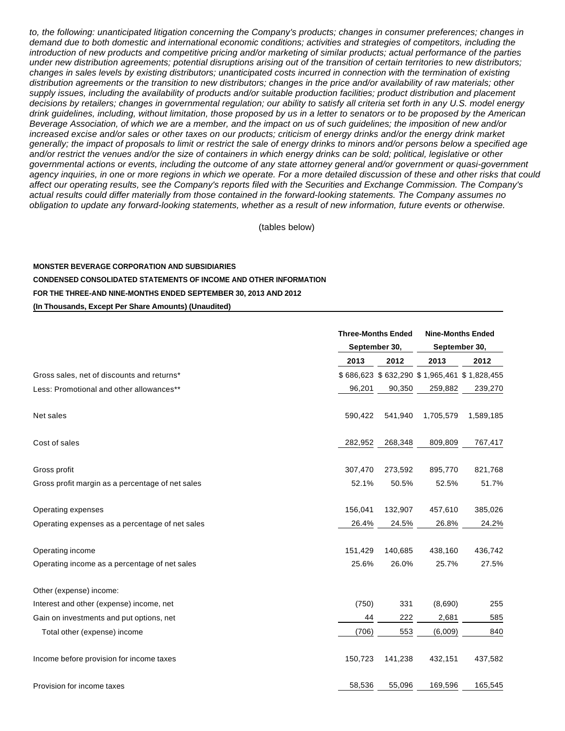to, the following: unanticipated litigation concerning the Company's products; changes in consumer preferences; changes in demand due to both domestic and international economic conditions; activities and strategies of competitors, including the introduction of new products and competitive pricing and/or marketing of similar products; actual performance of the parties under new distribution agreements; potential disruptions arising out of the transition of certain territories to new distributors; changes in sales levels by existing distributors; unanticipated costs incurred in connection with the termination of existing distribution agreements or the transition to new distributors; changes in the price and/or availability of raw materials; other supply issues, including the availability of products and/or suitable production facilities; product distribution and placement decisions by retailers; changes in governmental regulation; our ability to satisfy all criteria set forth in any U.S. model energy drink guidelines, including, without limitation, those proposed by us in a letter to senators or to be proposed by the American Beverage Association, of which we are a member, and the impact on us of such guidelines; the imposition of new and/or increased excise and/or sales or other taxes on our products; criticism of energy drinks and/or the energy drink market generally; the impact of proposals to limit or restrict the sale of energy drinks to minors and/or persons below a specified age and/or restrict the venues and/or the size of containers in which energy drinks can be sold; political, legislative or other governmental actions or events, including the outcome of any state attorney general and/or government or quasi-government agency inquiries, in one or more regions in which we operate. For a more detailed discussion of these and other risks that could affect our operating results, see the Company's reports filed with the Securities and Exchange Commission. The Company's actual results could differ materially from those contained in the forward-looking statements. The Company assumes no obligation to update any forward-looking statements, whether as a result of new information, future events or otherwise.

(tables below)

# **MONSTER BEVERAGE CORPORATION AND SUBSIDIARIES CONDENSED CONSOLIDATED STATEMENTS OF INCOME AND OTHER INFORMATION FOR THE THREE-AND NINE-MONTHS ENDED SEPTEMBER 30, 2013 AND 2012**

**(In Thousands, Except Per Share Amounts) (Unaudited)**

|                                                  |         | <b>Three-Months Ended</b><br>September 30, |           | <b>Nine-Months Ended</b><br>September 30,   |  |
|--------------------------------------------------|---------|--------------------------------------------|-----------|---------------------------------------------|--|
|                                                  |         |                                            |           |                                             |  |
|                                                  | 2013    | 2012                                       | 2013      | 2012                                        |  |
| Gross sales, net of discounts and returns*       |         |                                            |           | \$686,623 \$632,290 \$1,965,461 \$1,828,455 |  |
| Less: Promotional and other allowances**         | 96,201  | 90,350                                     | 259,882   | 239,270                                     |  |
| Net sales                                        | 590,422 | 541,940                                    | 1,705,579 | 1,589,185                                   |  |
| Cost of sales                                    | 282,952 | 268,348                                    | 809,809   | 767,417                                     |  |
| Gross profit                                     | 307,470 | 273,592                                    | 895,770   | 821,768                                     |  |
| Gross profit margin as a percentage of net sales | 52.1%   | 50.5%                                      | 52.5%     | 51.7%                                       |  |
| Operating expenses                               | 156,041 | 132,907                                    | 457,610   | 385,026                                     |  |
| Operating expenses as a percentage of net sales  | 26.4%   | 24.5%                                      | 26.8%     | 24.2%                                       |  |
| Operating income                                 | 151,429 | 140,685                                    | 438,160   | 436,742                                     |  |
| Operating income as a percentage of net sales    | 25.6%   | 26.0%                                      | 25.7%     | 27.5%                                       |  |
| Other (expense) income:                          |         |                                            |           |                                             |  |
| Interest and other (expense) income, net         | (750)   | 331                                        | (8,690)   | 255                                         |  |
| Gain on investments and put options, net         | 44      | 222                                        | 2,681     | 585                                         |  |
| Total other (expense) income                     | (706)   | 553                                        | (6,009)   | 840                                         |  |
| Income before provision for income taxes         | 150,723 | 141,238                                    | 432,151   | 437,582                                     |  |
| Provision for income taxes                       | 58,536  | 55,096                                     | 169,596   | 165,545                                     |  |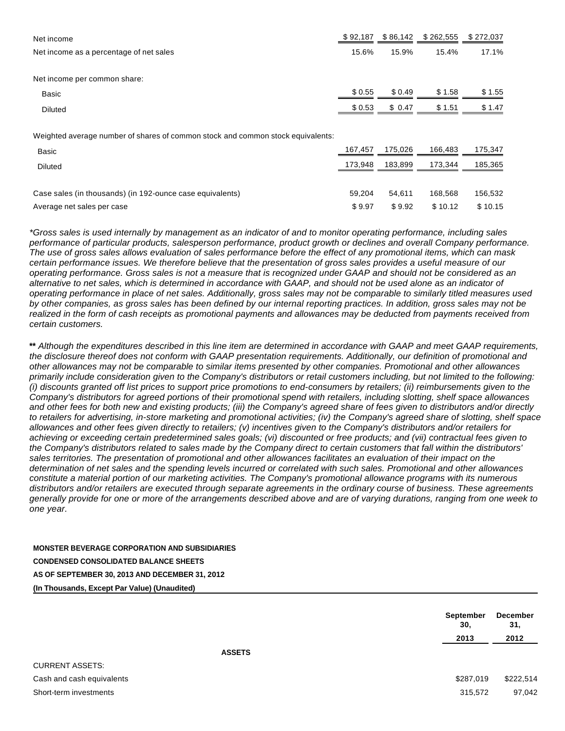| Net income                                                                      | \$92,187 | \$86,142 | \$262,555 | \$272,037 |
|---------------------------------------------------------------------------------|----------|----------|-----------|-----------|
| Net income as a percentage of net sales                                         | 15.6%    | 15.9%    | 15.4%     | 17.1%     |
|                                                                                 |          |          |           |           |
| Net income per common share:                                                    |          |          |           |           |
| Basic                                                                           | \$0.55   | \$0.49   | \$1.58    | \$1.55    |
| <b>Diluted</b>                                                                  | \$0.53   | \$0.47   | \$1.51    | \$1.47    |
| Weighted average number of shares of common stock and common stock equivalents: |          |          |           |           |
| Basic                                                                           | 167,457  | 175,026  | 166,483   | 175,347   |
| <b>Diluted</b>                                                                  | 173,948  | 183,899  | 173,344   | 185,365   |
| Case sales (in thousands) (in 192-ounce case equivalents)                       | 59,204   | 54.611   | 168,568   | 156,532   |
| Average net sales per case                                                      | \$9.97   | \$9.92   | \$10.12   | \$10.15   |

\*Gross sales is used internally by management as an indicator of and to monitor operating performance, including sales performance of particular products, salesperson performance, product growth or declines and overall Company performance. The use of gross sales allows evaluation of sales performance before the effect of any promotional items, which can mask certain performance issues. We therefore believe that the presentation of gross sales provides a useful measure of our operating performance. Gross sales is not a measure that is recognized under GAAP and should not be considered as an alternative to net sales, which is determined in accordance with GAAP, and should not be used alone as an indicator of operating performance in place of net sales. Additionally, gross sales may not be comparable to similarly titled measures used by other companies, as gross sales has been defined by our internal reporting practices. In addition, gross sales may not be realized in the form of cash receipts as promotional payments and allowances may be deducted from payments received from certain customers.

**\*\*** Although the expenditures described in this line item are determined in accordance with GAAP and meet GAAP requirements, the disclosure thereof does not conform with GAAP presentation requirements. Additionally, our definition of promotional and other allowances may not be comparable to similar items presented by other companies. Promotional and other allowances primarily include consideration given to the Company's distributors or retail customers including, but not limited to the following: (i) discounts granted off list prices to support price promotions to end-consumers by retailers; (ii) reimbursements given to the Company's distributors for agreed portions of their promotional spend with retailers, including slotting, shelf space allowances and other fees for both new and existing products; (iii) the Company's agreed share of fees given to distributors and/or directly to retailers for advertising, in-store marketing and promotional activities; (iv) the Company's agreed share of slotting, shelf space allowances and other fees given directly to retailers; (v) incentives given to the Company's distributors and/or retailers for achieving or exceeding certain predetermined sales goals; (vi) discounted or free products; and (vii) contractual fees given to the Company's distributors related to sales made by the Company direct to certain customers that fall within the distributors' sales territories. The presentation of promotional and other allowances facilitates an evaluation of their impact on the determination of net sales and the spending levels incurred or correlated with such sales. Promotional and other allowances constitute a material portion of our marketing activities. The Company's promotional allowance programs with its numerous distributors and/or retailers are executed through separate agreements in the ordinary course of business. These agreements generally provide for one or more of the arrangements described above and are of varying durations, ranging from one week to one year.

**MONSTER BEVERAGE CORPORATION AND SUBSIDIARIES CONDENSED CONSOLIDATED BALANCE SHEETS AS OF SEPTEMBER 30, 2013 AND DECEMBER 31, 2012 (In Thousands, Except Par Value) (Unaudited)**

|                           | September<br>30, | <b>December</b><br>31, |
|---------------------------|------------------|------------------------|
|                           | 2013             | 2012                   |
| <b>ASSETS</b>             |                  |                        |
| <b>CURRENT ASSETS:</b>    |                  |                        |
| Cash and cash equivalents | \$287,019        | \$222,514              |
| Short-term investments    | 315,572          | 97,042                 |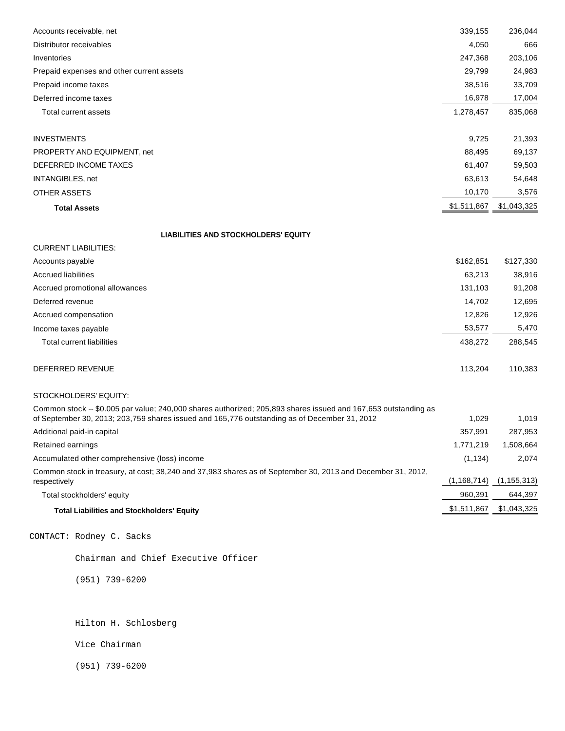| Accounts receivable, net                                                                                                                                                                                       | 339,155       | 236,044       |
|----------------------------------------------------------------------------------------------------------------------------------------------------------------------------------------------------------------|---------------|---------------|
| Distributor receivables                                                                                                                                                                                        | 4,050         | 666           |
| Inventories                                                                                                                                                                                                    | 247,368       | 203,106       |
| Prepaid expenses and other current assets                                                                                                                                                                      | 29,799        | 24,983        |
| Prepaid income taxes                                                                                                                                                                                           | 38,516        | 33,709        |
| Deferred income taxes                                                                                                                                                                                          | 16,978        | 17,004        |
| Total current assets                                                                                                                                                                                           | 1,278,457     | 835,068       |
| <b>INVESTMENTS</b>                                                                                                                                                                                             | 9,725         | 21,393        |
| PROPERTY AND EQUIPMENT, net                                                                                                                                                                                    | 88,495        | 69,137        |
| DEFERRED INCOME TAXES                                                                                                                                                                                          | 61,407        | 59,503        |
| INTANGIBLES, net                                                                                                                                                                                               | 63,613        | 54,648        |
| OTHER ASSETS                                                                                                                                                                                                   | 10,170        | 3,576         |
| <b>Total Assets</b>                                                                                                                                                                                            | \$1,511,867   | \$1,043,325   |
| <b>LIABILITIES AND STOCKHOLDERS' EQUITY</b>                                                                                                                                                                    |               |               |
| <b>CURRENT LIABILITIES:</b>                                                                                                                                                                                    |               |               |
| Accounts payable                                                                                                                                                                                               | \$162,851     | \$127,330     |
| <b>Accrued liabilities</b>                                                                                                                                                                                     | 63,213        | 38,916        |
| Accrued promotional allowances                                                                                                                                                                                 | 131,103       | 91,208        |
| Deferred revenue                                                                                                                                                                                               | 14,702        | 12,695        |
| Accrued compensation                                                                                                                                                                                           | 12,826        | 12,926        |
| Income taxes payable                                                                                                                                                                                           | 53,577        | 5,470         |
| <b>Total current liabilities</b>                                                                                                                                                                               | 438,272       | 288,545       |
| DEFERRED REVENUE                                                                                                                                                                                               | 113,204       | 110,383       |
| STOCKHOLDERS' EQUITY:                                                                                                                                                                                          |               |               |
| Common stock -- \$0.005 par value; 240,000 shares authorized; 205,893 shares issued and 167,653 outstanding as<br>of September 30, 2013; 203,759 shares issued and 165,776 outstanding as of December 31, 2012 | 1,029         | 1,019         |
| Additional paid-in capital                                                                                                                                                                                     | 357,991       | 287,953       |
| Retained earnings                                                                                                                                                                                              | 1,771,219     | 1,508,664     |
| Accumulated other comprehensive (loss) income                                                                                                                                                                  | (1, 134)      | 2,074         |
| Common stock in treasury, at cost; 38,240 and 37,983 shares as of September 30, 2013 and December 31, 2012,<br>respectively                                                                                    | (1, 168, 714) | (1, 155, 313) |
| Total stockholders' equity                                                                                                                                                                                     | 960,391       | 644,397       |
| <b>Total Liabilities and Stockholders' Equity</b>                                                                                                                                                              | \$1,511,867   | \$1,043,325   |
|                                                                                                                                                                                                                |               |               |

CONTACT: Rodney C. Sacks

Chairman and Chief Executive Officer

(951) 739-6200

Hilton H. Schlosberg

Vice Chairman

(951) 739-6200